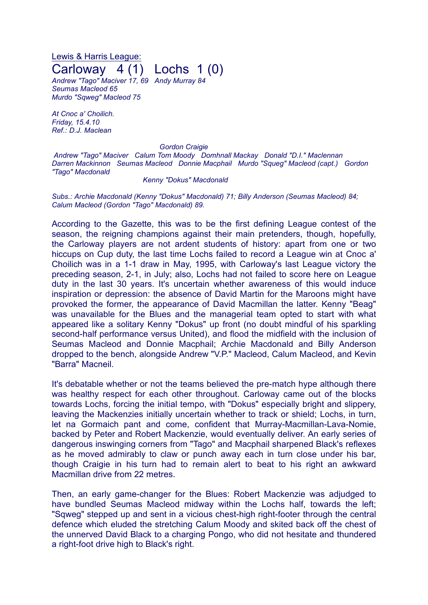## Lewis & Harris League: Carloway 4 (1) Lochs 1 (0)

*Andrew "Tago" Maciver 17, 69 Andy Murray 84 Seumas Macleod 65 Murdo "Sqweg" Macleod 75*

*At Cnoc a' Choilich. Friday, 15.4.10 Ref.: D.J. Maclean*

## *Gordon Craigie*

*Andrew "Tago" Maciver Calum Tom Moody Domhnall Mackay Donald "D.I." Maclennan Darren Mackinnon Seumas Macleod Donnie Macphail Murdo "Squeg" Macleod (capt.) Gordon "Tago" Macdonald*

## *Kenny "Dokus" Macdonald*

*Subs.: Archie Macdonald (Kenny "Dokus" Macdonald) 71; Billy Anderson (Seumas Macleod) 84; Calum Macleod (Gordon "Tago" Macdonald) 89.*

According to the Gazette, this was to be the first defining League contest of the season, the reigning champions against their main pretenders, though, hopefully, the Carloway players are not ardent students of history: apart from one or two hiccups on Cup duty, the last time Lochs failed to record a League win at Cnoc a' Choilich was in a 1-1 draw in May, 1995, with Carloway's last League victory the preceding season, 2-1, in July; also, Lochs had not failed to score here on League duty in the last 30 years. It's uncertain whether awareness of this would induce inspiration or depression: the absence of David Martin for the Maroons might have provoked the former, the appearance of David Macmillan the latter. Kenny "Beag" was unavailable for the Blues and the managerial team opted to start with what appeared like a solitary Kenny "Dokus" up front (no doubt mindful of his sparkling second-half performance versus United), and flood the midfield with the inclusion of Seumas Macleod and Donnie Macphail; Archie Macdonald and Billy Anderson dropped to the bench, alongside Andrew "V.P." Macleod, Calum Macleod, and Kevin "Barra" Macneil.

It's debatable whether or not the teams believed the pre-match hype although there was healthy respect for each other throughout. Carloway came out of the blocks towards Lochs, forcing the initial tempo, with "Dokus" especially bright and slippery, leaving the Mackenzies initially uncertain whether to track or shield; Lochs, in turn, let na Gormaich pant and come, confident that Murray-Macmillan-Lava-Nomie, backed by Peter and Robert Mackenzie, would eventually deliver. An early series of dangerous inswinging corners from "Tago" and Macphail sharpened Black's reflexes as he moved admirably to claw or punch away each in turn close under his bar, though Craigie in his turn had to remain alert to beat to his right an awkward Macmillan drive from 22 metres.

Then, an early game-changer for the Blues: Robert Mackenzie was adjudged to have bundled Seumas Macleod midway within the Lochs half, towards the left; "Sqweg" stepped up and sent in a vicious chest-high right-footer through the central defence which eluded the stretching Calum Moody and skited back off the chest of the unnerved David Black to a charging Pongo, who did not hesitate and thundered a right-foot drive high to Black's right.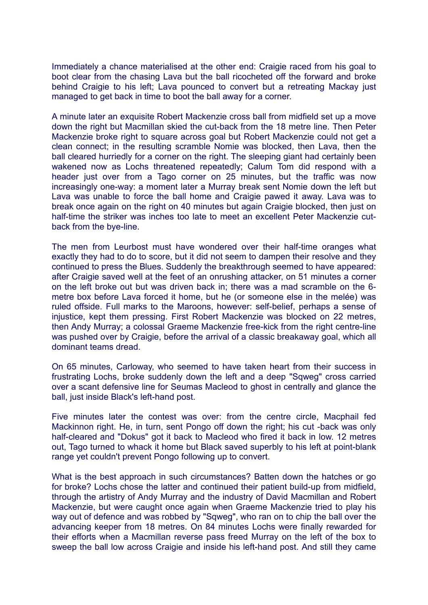Immediately a chance materialised at the other end: Craigie raced from his goal to boot clear from the chasing Lava but the ball ricocheted off the forward and broke behind Craigie to his left; Lava pounced to convert but a retreating Mackay just managed to get back in time to boot the ball away for a corner.

A minute later an exquisite Robert Mackenzie cross ball from midfield set up a move down the right but Macmillan skied the cut-back from the 18 metre line. Then Peter Mackenzie broke right to square across goal but Robert Mackenzie could not get a clean connect; in the resulting scramble Nomie was blocked, then Lava, then the ball cleared hurriedly for a corner on the right. The sleeping giant had certainly been wakened now as Lochs threatened repeatedly; Calum Tom did respond with a header just over from a Tago corner on 25 minutes, but the traffic was now increasingly one-way: a moment later a Murray break sent Nomie down the left but Lava was unable to force the ball home and Craigie pawed it away. Lava was to break once again on the right on 40 minutes but again Craigie blocked, then just on half-time the striker was inches too late to meet an excellent Peter Mackenzie cutback from the bye-line.

The men from Leurbost must have wondered over their half-time oranges what exactly they had to do to score, but it did not seem to dampen their resolve and they continued to press the Blues. Suddenly the breakthrough seemed to have appeared: after Craigie saved well at the feet of an onrushing attacker, on 51 minutes a corner on the left broke out but was driven back in; there was a mad scramble on the 6 metre box before Lava forced it home, but he (or someone else in the melée) was ruled offside. Full marks to the Maroons, however: self-belief, perhaps a sense of injustice, kept them pressing. First Robert Mackenzie was blocked on 22 metres, then Andy Murray; a colossal Graeme Mackenzie free-kick from the right centre-line was pushed over by Craigie, before the arrival of a classic breakaway goal, which all dominant teams dread.

On 65 minutes, Carloway, who seemed to have taken heart from their success in frustrating Lochs, broke suddenly down the left and a deep "Sqweg" cross carried over a scant defensive line for Seumas Macleod to ghost in centrally and glance the ball, just inside Black's left-hand post.

Five minutes later the contest was over: from the centre circle, Macphail fed Mackinnon right. He, in turn, sent Pongo off down the right; his cut -back was only half-cleared and "Dokus" got it back to Macleod who fired it back in low. 12 metres out, Tago turned to whack it home but Black saved superbly to his left at point-blank range yet couldn't prevent Pongo following up to convert.

What is the best approach in such circumstances? Batten down the hatches or go for broke? Lochs chose the latter and continued their patient build-up from midfield, through the artistry of Andy Murray and the industry of David Macmillan and Robert Mackenzie, but were caught once again when Graeme Mackenzie tried to play his way out of defence and was robbed by "Sqweg", who ran on to chip the ball over the advancing keeper from 18 metres. On 84 minutes Lochs were finally rewarded for their efforts when a Macmillan reverse pass freed Murray on the left of the box to sweep the ball low across Craigie and inside his left-hand post. And still they came